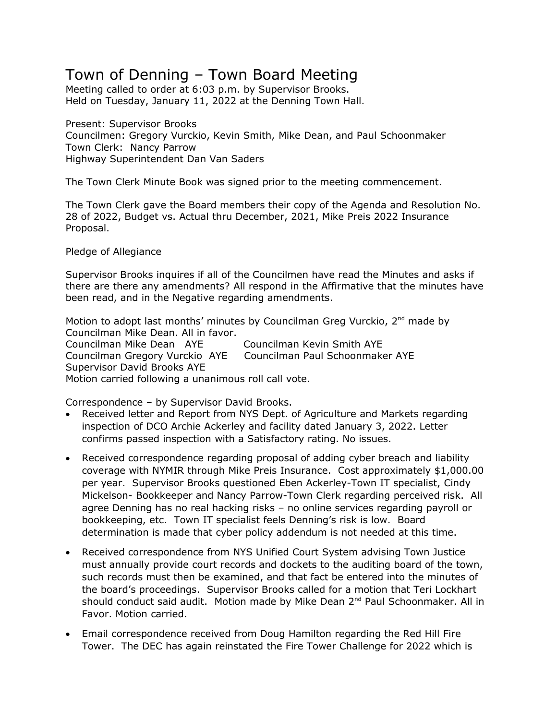## Town of Denning – Town Board Meeting

Meeting called to order at 6:03 p.m. by Supervisor Brooks. Held on Tuesday, January 11, 2022 at the Denning Town Hall.

Present: Supervisor Brooks Councilmen: Gregory Vurckio, Kevin Smith, Mike Dean, and Paul Schoonmaker Town Clerk: Nancy Parrow Highway Superintendent Dan Van Saders

The Town Clerk Minute Book was signed prior to the meeting commencement.

The Town Clerk gave the Board members their copy of the Agenda and Resolution No. 28 of 2022, Budget vs. Actual thru December, 2021, Mike Preis 2022 Insurance Proposal.

Pledge of Allegiance

Supervisor Brooks inquires if all of the Councilmen have read the Minutes and asks if there are there any amendments? All respond in the Affirmative that the minutes have been read, and in the Negative regarding amendments.

Motion to adopt last months' minutes by Councilman Greg Vurckio, 2<sup>nd</sup> made by Councilman Mike Dean. All in favor. Councilman Mike Dean AYE Councilman Kevin Smith AYE Councilman Gregory Vurckio AYE Councilman Paul Schoonmaker AYE Supervisor David Brooks AYE Motion carried following a unanimous roll call vote.

Correspondence – by Supervisor David Brooks.

- Received letter and Report from NYS Dept. of Agriculture and Markets regarding inspection of DCO Archie Ackerley and facility dated January 3, 2022. Letter confirms passed inspection with a Satisfactory rating. No issues.
- Received correspondence regarding proposal of adding cyber breach and liability coverage with NYMIR through Mike Preis Insurance. Cost approximately \$1,000.00 per year. Supervisor Brooks questioned Eben Ackerley-Town IT specialist, Cindy Mickelson- Bookkeeper and Nancy Parrow-Town Clerk regarding perceived risk. All agree Denning has no real hacking risks – no online services regarding payroll or bookkeeping, etc. Town IT specialist feels Denning's risk is low. Board determination is made that cyber policy addendum is not needed at this time.
- Received correspondence from NYS Unified Court System advising Town Justice must annually provide court records and dockets to the auditing board of the town, such records must then be examined, and that fact be entered into the minutes of the board's proceedings. Supervisor Brooks called for a motion that Teri Lockhart should conduct said audit. Motion made by Mike Dean 2<sup>nd</sup> Paul Schoonmaker. All in Favor. Motion carried.
- Email correspondence received from Doug Hamilton regarding the Red Hill Fire Tower. The DEC has again reinstated the Fire Tower Challenge for 2022 which is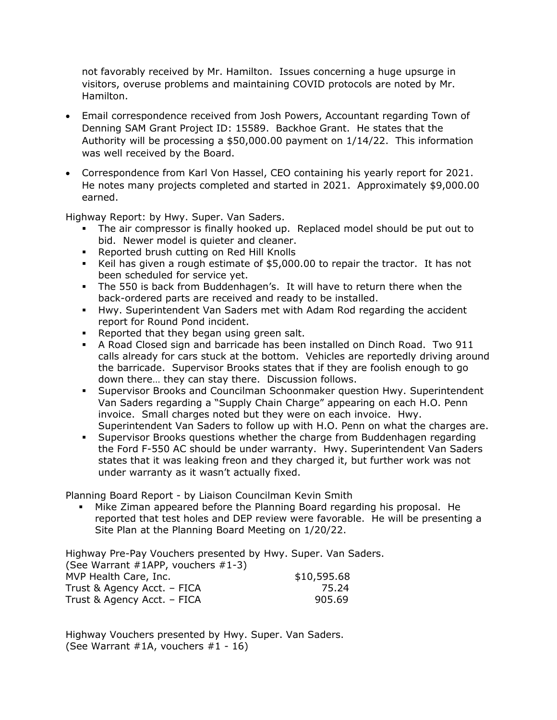not favorably received by Mr. Hamilton. Issues concerning a huge upsurge in visitors, overuse problems and maintaining COVID protocols are noted by Mr. Hamilton.

- Email correspondence received from Josh Powers, Accountant regarding Town of Denning SAM Grant Project ID: 15589. Backhoe Grant. He states that the Authority will be processing a \$50,000.00 payment on 1/14/22. This information was well received by the Board.
- Correspondence from Karl Von Hassel, CEO containing his yearly report for 2021. He notes many projects completed and started in 2021. Approximately \$9,000.00 earned.

Highway Report: by Hwy. Super. Van Saders.

- The air compressor is finally hooked up. Replaced model should be put out to bid. Newer model is quieter and cleaner.
- Reported brush cutting on Red Hill Knolls
- Keil has given a rough estimate of \$5,000.00 to repair the tractor. It has not been scheduled for service yet.
- The 550 is back from Buddenhagen's. It will have to return there when the back-ordered parts are received and ready to be installed.
- Hwy. Superintendent Van Saders met with Adam Rod regarding the accident report for Round Pond incident.
- Reported that they began using green salt.
- A Road Closed sign and barricade has been installed on Dinch Road. Two 911 calls already for cars stuck at the bottom. Vehicles are reportedly driving around the barricade. Supervisor Brooks states that if they are foolish enough to go down there… they can stay there. Discussion follows.
- Supervisor Brooks and Councilman Schoonmaker question Hwy. Superintendent Van Saders regarding a "Supply Chain Charge" appearing on each H.O. Penn invoice. Small charges noted but they were on each invoice. Hwy. Superintendent Van Saders to follow up with H.O. Penn on what the charges are.
- Supervisor Brooks questions whether the charge from Buddenhagen regarding the Ford F-550 AC should be under warranty. Hwy. Superintendent Van Saders states that it was leaking freon and they charged it, but further work was not under warranty as it wasn't actually fixed.

Planning Board Report - by Liaison Councilman Kevin Smith

 Mike Ziman appeared before the Planning Board regarding his proposal. He reported that test holes and DEP review were favorable. He will be presenting a Site Plan at the Planning Board Meeting on 1/20/22.

Highway Pre-Pay Vouchers presented by Hwy. Super. Van Saders. (See Warrant #1APP, vouchers #1-3) MVP Health Care, Inc. \$10,595.68 Trust & Agency Acct. – FICA 75.24 Trust & Agency Acct. – FICA 905.69

Highway Vouchers presented by Hwy. Super. Van Saders. (See Warrant #1A, vouchers #1 - 16)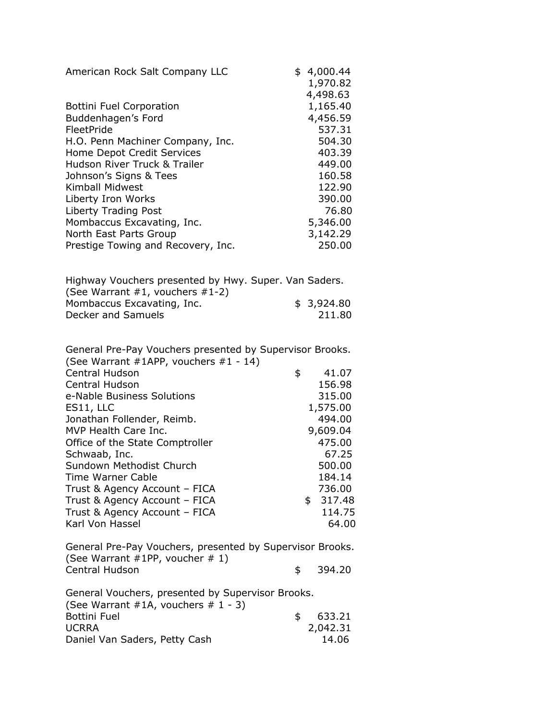| American Rock Salt Company LLC     | 4,000.44<br>\$ |
|------------------------------------|----------------|
|                                    | 1,970.82       |
|                                    | 4,498.63       |
| <b>Bottini Fuel Corporation</b>    | 1,165.40       |
| Buddenhagen's Ford                 | 4,456.59       |
| FleetPride                         | 537.31         |
| H.O. Penn Machiner Company, Inc.   | 504.30         |
| Home Depot Credit Services         | 403.39         |
| Hudson River Truck & Trailer       | 449.00         |
| Johnson's Signs & Tees             | 160.58         |
| Kimball Midwest                    | 122.90         |
| Liberty Iron Works                 | 390.00         |
| Liberty Trading Post               | 76.80          |
| Mombaccus Excavating, Inc.         | 5,346.00       |
| North East Parts Group             | 3,142.29       |
| Prestige Towing and Recovery, Inc. | 250.00         |
|                                    |                |

| Highway Vouchers presented by Hwy. Super. Van Saders. |            |
|-------------------------------------------------------|------------|
| (See Warrant $#1$ , vouchers $#1-2$ )                 |            |
| Mombaccus Excavating, Inc.                            | \$3,924.80 |
| Decker and Samuels                                    | 211.80     |

| General Pre-Pay Vouchers presented by Supervisor Brooks.<br>(See Warrant #1APP, vouchers #1 - 14) |             |
|---------------------------------------------------------------------------------------------------|-------------|
| <b>Central Hudson</b>                                                                             | \$<br>41.07 |
| <b>Central Hudson</b>                                                                             | 156.98      |
| e-Nable Business Solutions                                                                        | 315.00      |
| ES11, LLC                                                                                         | 1,575.00    |
| Jonathan Follender, Reimb.                                                                        | 494.00      |
| MVP Health Care Inc.                                                                              | 9,609.04    |
| Office of the State Comptroller                                                                   | 475.00      |
| Schwaab, Inc.                                                                                     | 67.25       |
| Sundown Methodist Church                                                                          | 500.00      |
| Time Warner Cable                                                                                 | 184.14      |
| Trust & Agency Account - FICA                                                                     | 736.00      |
| Trust & Agency Account - FICA                                                                     | \$317.48    |
| Trust & Agency Account - FICA                                                                     | 114.75      |
| Karl Von Hassel                                                                                   | 64.00       |
|                                                                                                   |             |

| General Pre-Pay Vouchers, presented by Supervisor Brooks. |        |
|-----------------------------------------------------------|--------|
| (See Warrant #1PP, voucher # 1)                           |        |
| Central Hudson                                            | 394.20 |

| General Vouchers, presented by Supervisor Brooks. |          |
|---------------------------------------------------|----------|
|                                                   |          |
| \$                                                | 633.21   |
|                                                   | 2,042.31 |
|                                                   | 14.06    |
|                                                   |          |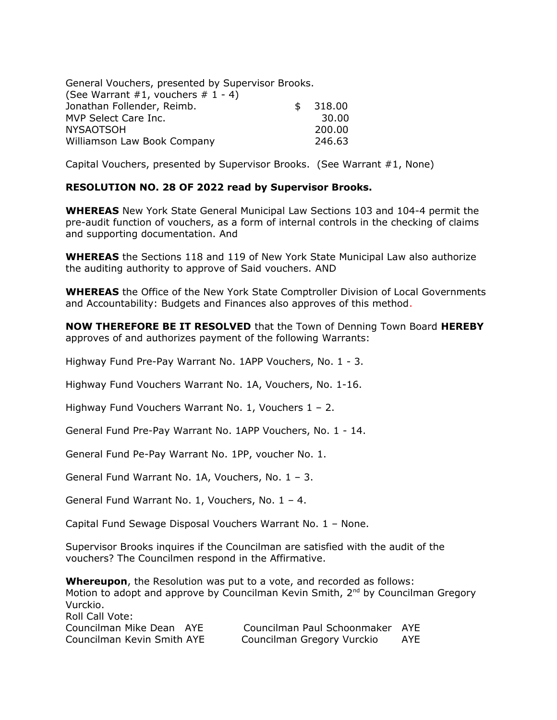| General Vouchers, presented by Supervisor Brooks. |              |
|---------------------------------------------------|--------------|
| (See Warrant #1, vouchers # $1 - 4$ )             |              |
| Jonathan Follender, Reimb.                        | \$<br>318.00 |
| MVP Select Care Inc.                              | 30.00        |
| <b>NYSAOTSOH</b>                                  | 200.00       |
| Williamson Law Book Company                       | 246.63       |

Capital Vouchers, presented by Supervisor Brooks. (See Warrant #1, None)

## **RESOLUTION NO. 28 OF 2022 read by Supervisor Brooks.**

**WHEREAS** New York State General Municipal Law Sections 103 and 104-4 permit the pre-audit function of vouchers, as a form of internal controls in the checking of claims and supporting documentation. And

**WHEREAS** the Sections 118 and 119 of New York State Municipal Law also authorize the auditing authority to approve of Said vouchers. AND

**WHEREAS** the Office of the New York State Comptroller Division of Local Governments and Accountability: Budgets and Finances also approves of this method.

**NOW THEREFORE BE IT RESOLVED** that the Town of Denning Town Board **HEREBY** approves of and authorizes payment of the following Warrants:

Highway Fund Pre-Pay Warrant No. 1APP Vouchers, No. 1 - 3.

Highway Fund Vouchers Warrant No. 1A, Vouchers, No. 1-16.

Highway Fund Vouchers Warrant No. 1, Vouchers 1 – 2.

General Fund Pre-Pay Warrant No. 1APP Vouchers, No. 1 - 14.

General Fund Pe-Pay Warrant No. 1PP, voucher No. 1.

General Fund Warrant No. 1A, Vouchers, No. 1 – 3.

General Fund Warrant No. 1, Vouchers, No. 1 – 4.

Capital Fund Sewage Disposal Vouchers Warrant No. 1 – None.

Supervisor Brooks inquires if the Councilman are satisfied with the audit of the vouchers? The Councilmen respond in the Affirmative.

**Whereupon**, the Resolution was put to a vote, and recorded as follows: Motion to adopt and approve by Councilman Kevin Smith, 2<sup>nd</sup> by Councilman Gregory Vurckio. Roll Call Vote: Councilman Mike Dean AYE Councilman Paul Schoonmaker AYE Councilman Kevin Smith AYE Councilman Gregory Vurckio AYE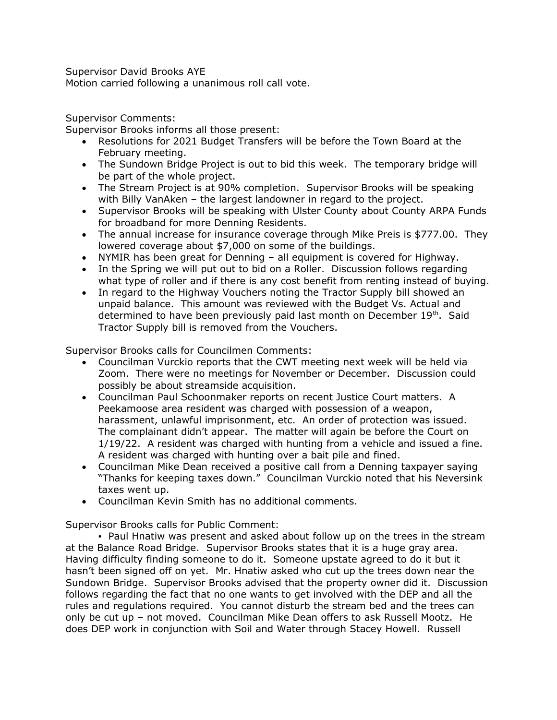Supervisor David Brooks AYE

Motion carried following a unanimous roll call vote.

Supervisor Comments:

Supervisor Brooks informs all those present:

- Resolutions for 2021 Budget Transfers will be before the Town Board at the February meeting.
- The Sundown Bridge Project is out to bid this week. The temporary bridge will be part of the whole project.
- The Stream Project is at 90% completion. Supervisor Brooks will be speaking with Billy VanAken – the largest landowner in regard to the project.
- Supervisor Brooks will be speaking with Ulster County about County ARPA Funds for broadband for more Denning Residents.
- The annual increase for insurance coverage through Mike Preis is \$777.00. They lowered coverage about \$7,000 on some of the buildings.
- NYMIR has been great for Denning all equipment is covered for Highway.
- In the Spring we will put out to bid on a Roller. Discussion follows regarding what type of roller and if there is any cost benefit from renting instead of buying.
- In regard to the Highway Vouchers noting the Tractor Supply bill showed an unpaid balance. This amount was reviewed with the Budget Vs. Actual and determined to have been previously paid last month on December 19th. Said Tractor Supply bill is removed from the Vouchers.

Supervisor Brooks calls for Councilmen Comments:

- Councilman Vurckio reports that the CWT meeting next week will be held via Zoom. There were no meetings for November or December. Discussion could possibly be about streamside acquisition.
- Councilman Paul Schoonmaker reports on recent Justice Court matters. A Peekamoose area resident was charged with possession of a weapon, harassment, unlawful imprisonment, etc. An order of protection was issued. The complainant didn't appear. The matter will again be before the Court on 1/19/22. A resident was charged with hunting from a vehicle and issued a fine. A resident was charged with hunting over a bait pile and fined.
- Councilman Mike Dean received a positive call from a Denning taxpayer saying "Thanks for keeping taxes down." Councilman Vurckio noted that his Neversink taxes went up.
- Councilman Kevin Smith has no additional comments.

Supervisor Brooks calls for Public Comment:

▪ Paul Hnatiw was present and asked about follow up on the trees in the stream at the Balance Road Bridge. Supervisor Brooks states that it is a huge gray area. Having difficulty finding someone to do it. Someone upstate agreed to do it but it hasn't been signed off on yet. Mr. Hnatiw asked who cut up the trees down near the Sundown Bridge. Supervisor Brooks advised that the property owner did it. Discussion follows regarding the fact that no one wants to get involved with the DEP and all the rules and regulations required. You cannot disturb the stream bed and the trees can only be cut up – not moved. Councilman Mike Dean offers to ask Russell Mootz. He does DEP work in conjunction with Soil and Water through Stacey Howell. Russell